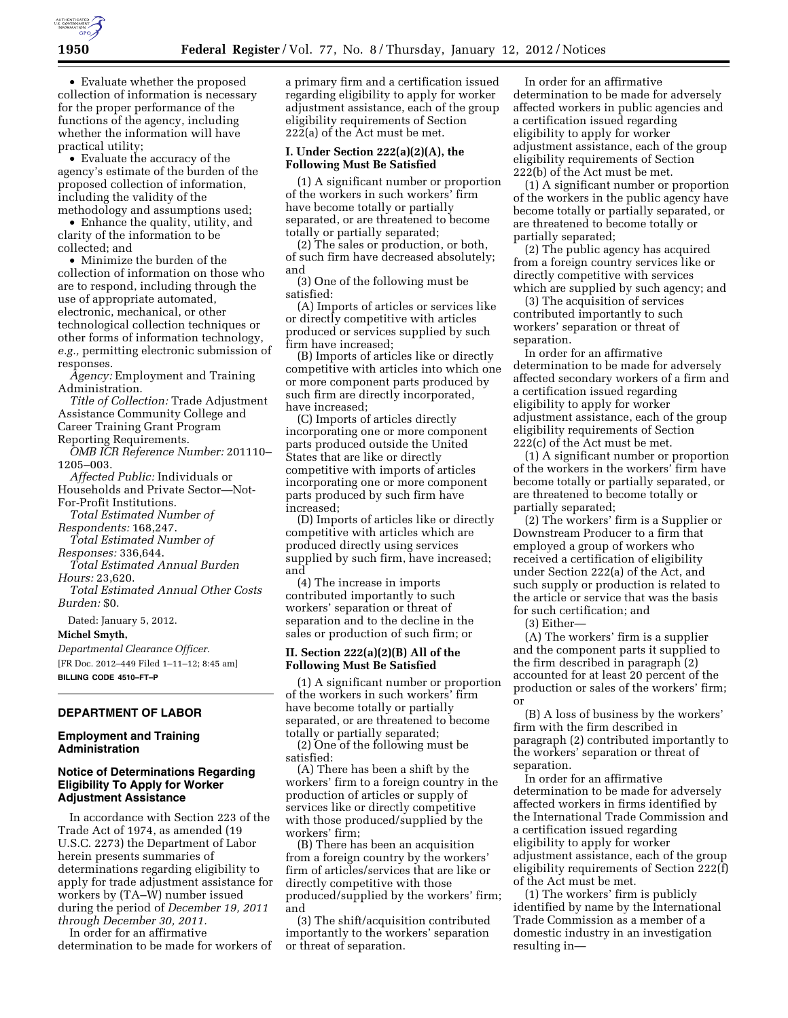

• Evaluate whether the proposed collection of information is necessary for the proper performance of the functions of the agency, including whether the information will have practical utility;

• Evaluate the accuracy of the agency's estimate of the burden of the proposed collection of information, including the validity of the methodology and assumptions used;

• Enhance the quality, utility, and clarity of the information to be collected; and

• Minimize the burden of the collection of information on those who are to respond, including through the use of appropriate automated, electronic, mechanical, or other technological collection techniques or other forms of information technology, *e.g.,* permitting electronic submission of responses.

*Agency:* Employment and Training Administration.

*Title of Collection:* Trade Adjustment Assistance Community College and Career Training Grant Program Reporting Requirements.

*OMB ICR Reference Number:* 201110– 1205–003.

*Affected Public:* Individuals or Households and Private Sector—Not-For-Profit Institutions.

*Total Estimated Number of Respondents:* 168,247.

*Total Estimated Number of* 

*Responses:* 336,644. *Total Estimated Annual Burden Hours:* 23,620.

*Total Estimated Annual Other Costs Burden:* \$0.

Dated: January 5, 2012.

#### **Michel Smyth,**

*Departmental Clearance Officer.*  [FR Doc. 2012–449 Filed 1–11–12; 8:45 am] **BILLING CODE 4510–FT–P** 

# **DEPARTMENT OF LABOR**

### **Employment and Training Administration**

## **Notice of Determinations Regarding Eligibility To Apply for Worker Adjustment Assistance**

In accordance with Section 223 of the Trade Act of 1974, as amended (19 U.S.C. 2273) the Department of Labor herein presents summaries of determinations regarding eligibility to apply for trade adjustment assistance for workers by (TA–W) number issued during the period of *December 19, 2011 through December 30, 2011.* 

In order for an affirmative determination to be made for workers of a primary firm and a certification issued regarding eligibility to apply for worker adjustment assistance, each of the group eligibility requirements of Section 222(a) of the Act must be met.

#### **I. Under Section 222(a)(2)(A), the Following Must Be Satisfied**

(1) A significant number or proportion of the workers in such workers' firm have become totally or partially separated, or are threatened to become totally or partially separated;

(2) The sales or production, or both, of such firm have decreased absolutely; and (3) One of the following must be

satisfied:

(A) Imports of articles or services like or directly competitive with articles produced or services supplied by such firm have increased;

(B) Imports of articles like or directly competitive with articles into which one or more component parts produced by such firm are directly incorporated, have increased;

(C) Imports of articles directly incorporating one or more component parts produced outside the United States that are like or directly competitive with imports of articles incorporating one or more component parts produced by such firm have increased;

(D) Imports of articles like or directly competitive with articles which are produced directly using services supplied by such firm, have increased; and

(4) The increase in imports contributed importantly to such workers' separation or threat of separation and to the decline in the sales or production of such firm; or

#### **II. Section 222(a)(2)(B) All of the Following Must Be Satisfied**

(1) A significant number or proportion of the workers in such workers' firm have become totally or partially separated, or are threatened to become totally or partially separated;

(2) One of the following must be satisfied:

(A) There has been a shift by the workers' firm to a foreign country in the production of articles or supply of services like or directly competitive with those produced/supplied by the workers' firm;

(B) There has been an acquisition from a foreign country by the workers' firm of articles/services that are like or directly competitive with those produced/supplied by the workers' firm; and

(3) The shift/acquisition contributed importantly to the workers' separation or threat of separation.

In order for an affirmative determination to be made for adversely affected workers in public agencies and a certification issued regarding eligibility to apply for worker adjustment assistance, each of the group eligibility requirements of Section 222(b) of the Act must be met.

(1) A significant number or proportion of the workers in the public agency have become totally or partially separated, or are threatened to become totally or partially separated;

(2) The public agency has acquired from a foreign country services like or directly competitive with services which are supplied by such agency; and

(3) The acquisition of services contributed importantly to such workers' separation or threat of separation.

In order for an affirmative determination to be made for adversely affected secondary workers of a firm and a certification issued regarding eligibility to apply for worker adjustment assistance, each of the group eligibility requirements of Section 222(c) of the Act must be met.

(1) A significant number or proportion of the workers in the workers' firm have become totally or partially separated, or are threatened to become totally or partially separated;

(2) The workers' firm is a Supplier or Downstream Producer to a firm that employed a group of workers who received a certification of eligibility under Section 222(a) of the Act, and such supply or production is related to the article or service that was the basis for such certification; and

(3) Either—

(A) The workers' firm is a supplier and the component parts it supplied to the firm described in paragraph (2) accounted for at least 20 percent of the production or sales of the workers' firm; or

(B) A loss of business by the workers' firm with the firm described in paragraph (2) contributed importantly to the workers' separation or threat of separation.

In order for an affirmative determination to be made for adversely affected workers in firms identified by the International Trade Commission and a certification issued regarding eligibility to apply for worker adjustment assistance, each of the group eligibility requirements of Section 222(f) of the Act must be met.

(1) The workers' firm is publicly identified by name by the International Trade Commission as a member of a domestic industry in an investigation resulting in—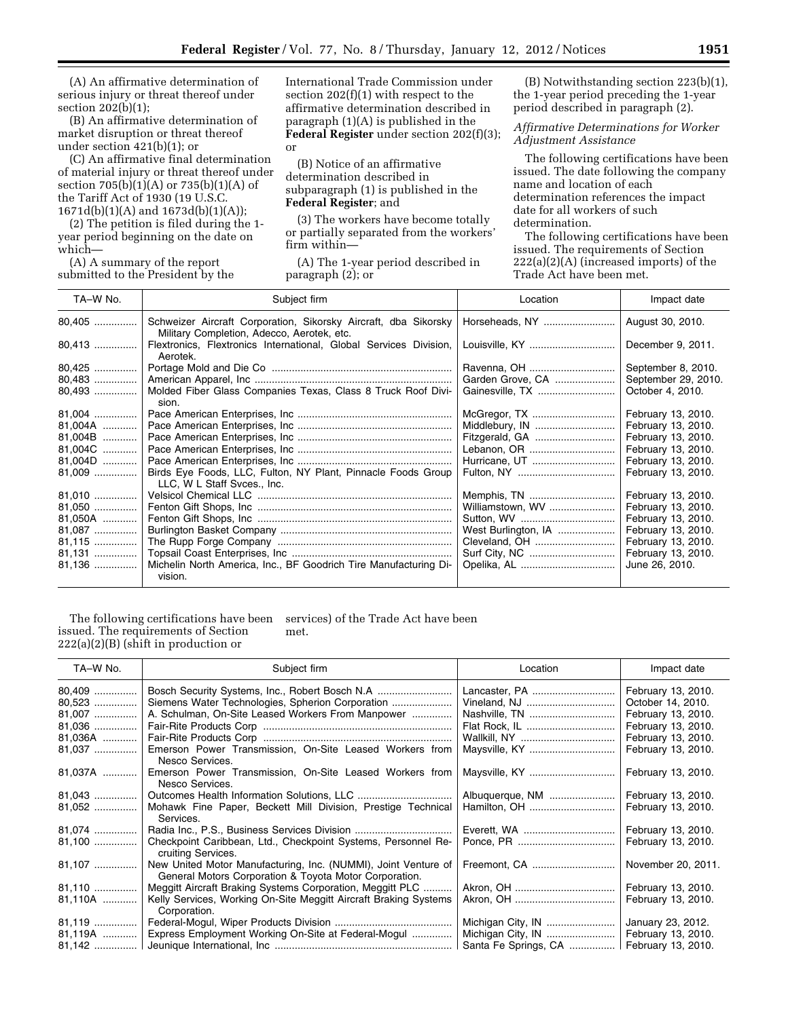(A) An affirmative determination of serious injury or threat thereof under section 202(b)(1);

(B) An affirmative determination of market disruption or threat thereof under section 421(b)(1); or

(C) An affirmative final determination of material injury or threat thereof under section 705(b)(1)(A) or 735(b)(1)(A) of the Tariff Act of 1930 (19 U.S.C. 1671d(b)(1)(A) and 1673d(b)(1)(A));

(2) The petition is filed during the 1 year period beginning on the date on which—

(A) A summary of the report submitted to the President by the

International Trade Commission under section 202(f)(1) with respect to the affirmative determination described in paragraph (1)(A) is published in the **Federal Register** under section 202(f)(3); or

(B) Notice of an affirmative determination described in subparagraph (1) is published in the **Federal Register**; and

(3) The workers have become totally or partially separated from the workers' firm within—

(A) The 1-year period described in paragraph (2); or

(B) Notwithstanding section 223(b)(1), the 1-year period preceding the 1-year period described in paragraph (2).

*Affirmative Determinations for Worker Adjustment Assistance* 

The following certifications have been issued. The date following the company name and location of each determination references the impact date for all workers of such determination.

The following certifications have been issued. The requirements of Section 222(a)(2)(A) (increased imports) of the Trade Act have been met.

| TA-W No. | Subject firm                                                                                                  | Location            | Impact date         |
|----------|---------------------------------------------------------------------------------------------------------------|---------------------|---------------------|
| 80,405   | Schweizer Aircraft Corporation, Sikorsky Aircraft, dba Sikorsky<br>Military Completion, Adecco, Aerotek, etc. | Horseheads, NY      | August 30, 2010.    |
| 80,413   | Flextronics, Flextronics International, Global Services Division,<br>Aerotek.                                 |                     | December 9, 2011.   |
| 80,425   |                                                                                                               |                     | September 8, 2010.  |
| 80,483   |                                                                                                               | Garden Grove, CA    | September 29, 2010. |
| 80,493   | Molded Fiber Glass Companies Texas, Class 8 Truck Roof Divi-<br>sion.                                         |                     | October 4, 2010.    |
| 81,004   |                                                                                                               | McGregor, TX        | February 13, 2010.  |
| 81,004A  |                                                                                                               |                     | February 13, 2010.  |
| 81,004B  |                                                                                                               | Fitzgerald, GA      | February 13, 2010.  |
| 81,004C  |                                                                                                               |                     | February 13, 2010.  |
| 81,004D  |                                                                                                               |                     | February 13, 2010.  |
| $81,009$ | Birds Eye Foods, LLC, Fulton, NY Plant, Pinnacle Foods Group<br>LLC, W L Staff Svces., Inc.                   |                     | February 13, 2010.  |
| 81,010   |                                                                                                               | Memphis, TN         | February 13, 2010.  |
| 81,050   |                                                                                                               | Williamstown, WV    | February 13, 2010.  |
| 81,050A  |                                                                                                               |                     | February 13, 2010.  |
| 81,087   |                                                                                                               | West Burlington, IA | February 13, 2010.  |
| 81,115   |                                                                                                               |                     | February 13, 2010.  |
| 81,131   |                                                                                                               |                     | February 13, 2010.  |
| 81,136   | Michelin North America, Inc., BF Goodrich Tire Manufacturing Di-<br>vision.                                   |                     | June 26, 2010.      |

The following certifications have been issued. The requirements of Section 222(a)(2)(B) (shift in production or

services) of the Trade Act have been met.

| TA-W No.         | Subject firm                                                                                                             | Location                      | Impact date                              |
|------------------|--------------------------------------------------------------------------------------------------------------------------|-------------------------------|------------------------------------------|
| 80,409<br>80,523 |                                                                                                                          | Lancaster, PA<br>Vineland, NJ | February 13, 2010.<br>October 14, 2010.  |
| 81,007<br>81,036 | A. Schulman, On-Site Leased Workers From Manpower                                                                        |                               | February 13, 2010.<br>February 13, 2010. |
| 81,036A          |                                                                                                                          |                               | February 13, 2010.                       |
| 81,037           | Emerson Power Transmission, On-Site Leased Workers from<br>Nesco Services.                                               |                               | February 13, 2010.                       |
| 81,037A          | Emerson Power Transmission, On-Site Leased Workers from<br>Nesco Services.                                               |                               | February 13, 2010.                       |
| $81,043$         |                                                                                                                          | Albuquerque, NM               | February 13, 2010.                       |
| 81,052           | Mohawk Fine Paper, Beckett Mill Division, Prestige Technical<br>Services.                                                |                               | February 13, 2010.                       |
| 81,074           |                                                                                                                          | Everett, WA                   | February 13, 2010.                       |
| 81,100           | Checkpoint Caribbean, Ltd., Checkpoint Systems, Personnel Re-<br>cruiting Services.                                      |                               | February 13, 2010.                       |
| 81,107           | New United Motor Manufacturing, Inc. (NUMMI), Joint Venture of<br>General Motors Corporation & Toyota Motor Corporation. | Freemont, CA                  | November 20, 2011.                       |
| 81,110           | Meggitt Aircraft Braking Systems Corporation, Meggitt PLC                                                                |                               | February 13, 2010.                       |
| 81,110A          | Kelly Services, Working On-Site Meggitt Aircraft Braking Systems<br>Corporation.                                         |                               | February 13, 2010.                       |
| 81,119           |                                                                                                                          | Michigan City, IN             | January 23, 2012.                        |
| 81,119A          | Express Employment Working On-Site at Federal-Mogul                                                                      | Michigan City, IN             | February 13, 2010.                       |
|                  |                                                                                                                          | Santa Fe Springs, CA          | February 13, 2010.                       |